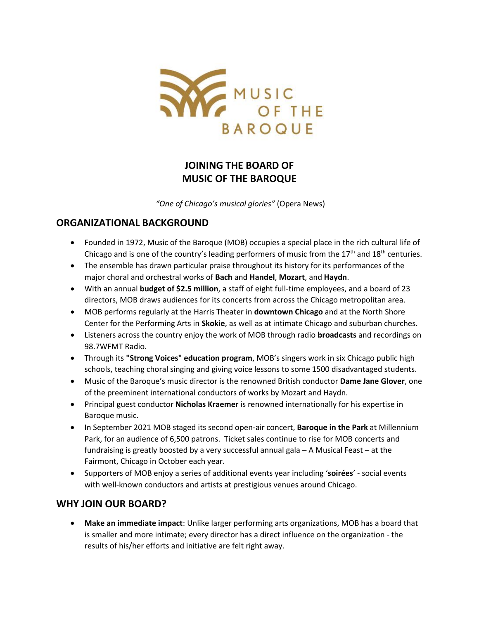

# **JOINING THE BOARD OF MUSIC OF THE BAROQUE**

*"One of Chicago's musical glories"* (Opera News)

### **ORGANIZATIONAL BACKGROUND**

- Founded in 1972, Music of the Baroque (MOB) occupies a special place in the rich cultural life of Chicago and is one of the country's leading performers of music from the  $17<sup>th</sup>$  and  $18<sup>th</sup>$  centuries.
- The ensemble has drawn particular praise throughout its history for its performances of the major choral and orchestral works of **Bach** and **Handel**, **Mozart**, and **Haydn**.
- With an annual **budget of \$2.5 million**, a staff of eight full-time employees, and a board of 23 directors, MOB draws audiences for its concerts from across the Chicago metropolitan area.
- MOB performs regularly at the Harris Theater in **downtown Chicago** and at the North Shore Center for the Performing Arts in **Skokie**, as well as at intimate Chicago and suburban churches.
- Listeners across the country enjoy the work of MOB through radio **broadcasts** and recordings on 98.7WFMT Radio.
- Through its **"Strong Voices" education program**, MOB's singers work in six Chicago public high schools, teaching choral singing and giving voice lessons to some 1500 disadvantaged students.
- Music of the Baroque's music director is the renowned British conductor **Dame Jane Glover**, one of the preeminent international conductors of works by Mozart and Haydn.
- Principal guest conductor **Nicholas Kraemer** is renowned internationally for his expertise in Baroque music.
- In September 2021 MOB staged its second open-air concert, **Baroque in the Park** at Millennium Park, for an audience of 6,500 patrons. Ticket sales continue to rise for MOB concerts and fundraising is greatly boosted by a very successful annual gala – A Musical Feast – at the Fairmont, Chicago in October each year.
- Supporters of MOB enjoy a series of additional events year including '**soirées**' social events with well-known conductors and artists at prestigious venues around Chicago.

### **WHY JOIN OUR BOARD?**

• **Make an immediate impact**: Unlike larger performing arts organizations, MOB has a board that is smaller and more intimate; every director has a direct influence on the organization - the results of his/her efforts and initiative are felt right away.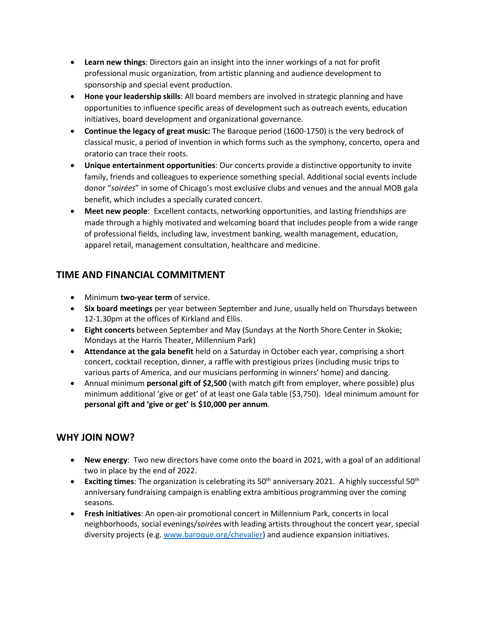- **Learn new things**: Directors gain an insight into the inner workings of a not for profit professional music organization, from artistic planning and audience development to sponsorship and special event production.
- **Hone your leadership skills**: All board members are involved in strategic planning and have opportunities to influence specific areas of development such as outreach events, education initiatives, board development and organizational governance.
- **Continue the legacy of great music:** The Baroque period (1600-1750) is the very bedrock of classical music, a period of invention in which forms such as the symphony, concerto, opera and oratorio can trace their roots.
- **Unique entertainment opportunities**: Our concerts provide a distinctive opportunity to invite family, friends and colleagues to experience something special. Additional social events include donor "*soirées*" in some of Chicago's most exclusive clubs and venues and the annual MOB gala benefit, which includes a specially curated concert.
- **Meet new people**: Excellent contacts, networking opportunities, and lasting friendships are made through a highly motivated and welcoming board that includes people from a wide range of professional fields, including law, investment banking, wealth management, education, apparel retail, management consultation, healthcare and medicine.

## **TIME AND FINANCIAL COMMITMENT**

- Minimum **two-year term** of service.
- **Six board meetings** per year between September and June, usually held on Thursdays between 12-1.30pm at the offices of Kirkland and Ellis.
- **Eight concerts** between September and May (Sundays at the North Shore Center in Skokie; Mondays at the Harris Theater, Millennium Park)
- **Attendance at the gala benefit** held on a Saturday in October each year, comprising a short concert, cocktail reception, dinner, a raffle with prestigious prizes (including music trips to various parts of America, and our musicians performing in winners' home) and dancing.
- Annual minimum **personal gift of \$2,500** (with match gift from employer, where possible) plus minimum additional 'give or get' of at least one Gala table (\$3,750). Ideal minimum amount for **personal gift and 'give or get' is \$10,000 per annum**.

## **WHY JOIN NOW?**

- **New energy**: Two new directors have come onto the board in 2021, with a goal of an additional two in place by the end of 2022.
- **Exciting times**: The organization is celebrating its 50<sup>th</sup> anniversary 2021. A highly successful 50<sup>th</sup> anniversary fundraising campaign is enabling extra ambitious programming over the coming seasons.
- **Fresh initiatives**: An open-air promotional concert in Millennium Park, concerts in local neighborhoods, social evenings/*soirées* with leading artists throughout the concert year, special diversity projects (e.g. [www.baroque.org/chevalier\)](http://www.baroque.org/chevalier) and audience expansion initiatives.